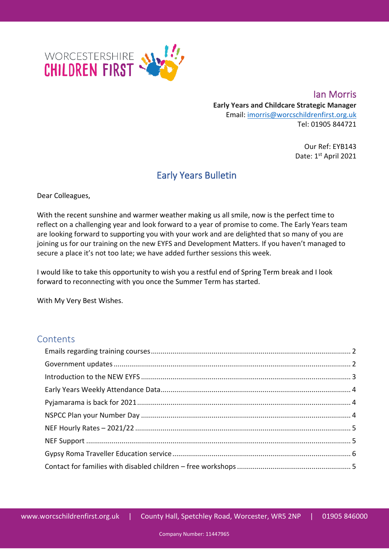

**Ian Morris Early Years and Childcare Strategic Manager** Email: [imorris@worcschildrenfirst.org.uk](mailto:imorris@worcschildrenfirst.org.uk) Tel: 01905 844721

> Our Ref: EYB143 Date: 1st April 2021

## Early Years Bulletin

Dear Colleagues,

With the recent sunshine and warmer weather making us all smile, now is the perfect time to reflect on a challenging year and look forward to a year of promise to come. The Early Years team are looking forward to supporting you with your work and are delighted that so many of you are joining us for our training on the new EYFS and Development Matters. If you haven't managed to secure a place it's not too late; we have added further sessions this week.

I would like to take this opportunity to wish you a restful end of Spring Term break and I look forward to reconnecting with you once the Summer Term has started.

With My Very Best Wishes.

### **Contents**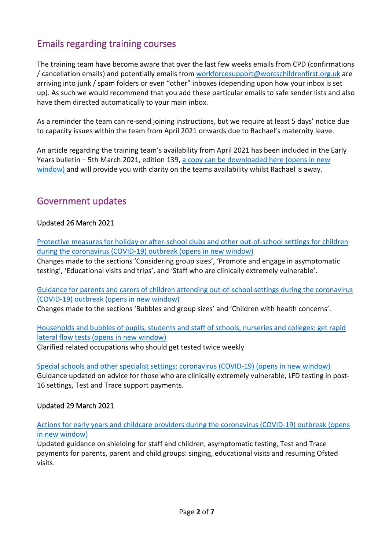### <span id="page-1-0"></span>Emails regarding training courses

The training team have become aware that over the last few weeks emails from CPD (confirmations / cancellation emails) and potentially emails from [workforcesupport@worcschildrenfirst.org.uk](mailto:workforcesupport@worcschildrenfirst.org.uk) are arriving into junk / spam folders or even "other" inboxes (depending upon how your inbox is set up). As such we would recommend that you add these particular emails to safe sender lists and also have them directed automatically to your main inbox.

As a reminder the team can re-send joining instructions, but we require at least 5 days' notice due to capacity issues within the team from April 2021 onwards due to Rachael's maternity leave.

An article regarding the training team's availability from April 2021 has been included in the Early Years bulletin – 5th March 2021, edition 139, a copy can be downloaded here (opens in new [window\)](https://www.worcestershire.gov.uk/downloads/file/13749/early_years_bulletin_139_-_5_march_2021) and will provide you with clarity on the teams availability whilst Rachael is away.

### <span id="page-1-1"></span>Government updates

#### Updated 26 March 2021

[Protective measures for holiday or after-school clubs and other out-of-school settings for children](https://eur02.safelinks.protection.outlook.com/?url=https%3A%2F%2Fwww.gov.uk%2Fgovernment%2Fpublications%2Fprotective-measures-for-holiday-or-after-school-clubs-and-other-out-of-school-settings-for-children-during-the-coronavirus-covid-19-outbreak%3Futm_medium%3Demail%26utm_campaign%3Dgovuk-notifications%26utm_source%3D6b86597a-1771-43ff-b50b-a51d5b8d451c%26utm_content%3Ddaily&data=04%7C01%7CROakley2%40worcschildrenfirst.org.uk%7Ceb823dcf5e554aa2f85b08d8f1018d23%7Cacf41887bd3745d39e6547cde48dc85a%7C0%7C0%7C637524336270296420%7CUnknown%7CTWFpbGZsb3d8eyJWIjoiMC4wLjAwMDAiLCJQIjoiV2luMzIiLCJBTiI6Ik1haWwiLCJXVCI6Mn0%3D%7C1000&sdata=uPSfkRvMN%2F4NXNB9N7AYoWXyEg47lCpHN2VriCz33bA%3D&reserved=0)  [during the coronavirus \(COVID-19\) outbreak \(opens in new window\)](https://eur02.safelinks.protection.outlook.com/?url=https%3A%2F%2Fwww.gov.uk%2Fgovernment%2Fpublications%2Fprotective-measures-for-holiday-or-after-school-clubs-and-other-out-of-school-settings-for-children-during-the-coronavirus-covid-19-outbreak%3Futm_medium%3Demail%26utm_campaign%3Dgovuk-notifications%26utm_source%3D6b86597a-1771-43ff-b50b-a51d5b8d451c%26utm_content%3Ddaily&data=04%7C01%7CROakley2%40worcschildrenfirst.org.uk%7Ceb823dcf5e554aa2f85b08d8f1018d23%7Cacf41887bd3745d39e6547cde48dc85a%7C0%7C0%7C637524336270296420%7CUnknown%7CTWFpbGZsb3d8eyJWIjoiMC4wLjAwMDAiLCJQIjoiV2luMzIiLCJBTiI6Ik1haWwiLCJXVCI6Mn0%3D%7C1000&sdata=uPSfkRvMN%2F4NXNB9N7AYoWXyEg47lCpHN2VriCz33bA%3D&reserved=0)

Changes made to the sections 'Considering group sizes', 'Promote and engage in asymptomatic testing', 'Educational visits and trips', and 'Staff who are clinically extremely vulnerable'.

[Guidance for parents and carers of children attending out-of-school settings during the coronavirus](https://eur02.safelinks.protection.outlook.com/?url=https%3A%2F%2Fwww.gov.uk%2Fgovernment%2Fpublications%2Fguidance-for-parents-and-carers-of-children-attending-out-of-school-settings-during-the-coronavirus-covid-19-outbreak%3Futm_medium%3Demail%26utm_campaign%3Dgovuk-notifications%26utm_source%3D9b23a478-a6fb-44fd-8f38-e53ad961e300%26utm_content%3Ddaily&data=04%7C01%7CROakley2%40worcschildrenfirst.org.uk%7Ceb823dcf5e554aa2f85b08d8f1018d23%7Cacf41887bd3745d39e6547cde48dc85a%7C0%7C0%7C637524336270296420%7CUnknown%7CTWFpbGZsb3d8eyJWIjoiMC4wLjAwMDAiLCJQIjoiV2luMzIiLCJBTiI6Ik1haWwiLCJXVCI6Mn0%3D%7C1000&sdata=Vm%2Bgdxyu%2Fqrz%2Fmmp8gQwDlnYNRQp5diduGwjav508jI%3D&reserved=0)  [\(COVID-19\) outbreak \(opens in new window\)](https://eur02.safelinks.protection.outlook.com/?url=https%3A%2F%2Fwww.gov.uk%2Fgovernment%2Fpublications%2Fguidance-for-parents-and-carers-of-children-attending-out-of-school-settings-during-the-coronavirus-covid-19-outbreak%3Futm_medium%3Demail%26utm_campaign%3Dgovuk-notifications%26utm_source%3D9b23a478-a6fb-44fd-8f38-e53ad961e300%26utm_content%3Ddaily&data=04%7C01%7CROakley2%40worcschildrenfirst.org.uk%7Ceb823dcf5e554aa2f85b08d8f1018d23%7Cacf41887bd3745d39e6547cde48dc85a%7C0%7C0%7C637524336270296420%7CUnknown%7CTWFpbGZsb3d8eyJWIjoiMC4wLjAwMDAiLCJQIjoiV2luMzIiLCJBTiI6Ik1haWwiLCJXVCI6Mn0%3D%7C1000&sdata=Vm%2Bgdxyu%2Fqrz%2Fmmp8gQwDlnYNRQp5diduGwjav508jI%3D&reserved=0)

Changes made to the sections 'Bubbles and group sizes' and 'Children with health concerns'.

[Households and bubbles of pupils, students and staff of schools, nurseries and colleges: get rapid](https://eur02.safelinks.protection.outlook.com/?url=https%3A%2F%2Fwww.gov.uk%2Fguidance%2Frapid-lateral-flow-testing-for-households-and-bubbles-of-school-pupils-and-staff%3Futm_medium%3Demail%26utm_campaign%3Dgovuk-notifications%26utm_source%3D0d3c4c1d-d49f-4d6c-af65-43bda6379878%26utm_content%3Ddaily&data=04%7C01%7CROakley2%40worcschildrenfirst.org.uk%7Ceb823dcf5e554aa2f85b08d8f1018d23%7Cacf41887bd3745d39e6547cde48dc85a%7C0%7C0%7C637524336270326403%7CUnknown%7CTWFpbGZsb3d8eyJWIjoiMC4wLjAwMDAiLCJQIjoiV2luMzIiLCJBTiI6Ik1haWwiLCJXVCI6Mn0%3D%7C1000&sdata=R8OGI1HM%2BxedIMsQYPa8bgd5Yp2JrKRN%2BVmgl7B4LIQ%3D&reserved=0)  [lateral flow tests \(opens in new window\)](https://eur02.safelinks.protection.outlook.com/?url=https%3A%2F%2Fwww.gov.uk%2Fguidance%2Frapid-lateral-flow-testing-for-households-and-bubbles-of-school-pupils-and-staff%3Futm_medium%3Demail%26utm_campaign%3Dgovuk-notifications%26utm_source%3D0d3c4c1d-d49f-4d6c-af65-43bda6379878%26utm_content%3Ddaily&data=04%7C01%7CROakley2%40worcschildrenfirst.org.uk%7Ceb823dcf5e554aa2f85b08d8f1018d23%7Cacf41887bd3745d39e6547cde48dc85a%7C0%7C0%7C637524336270326403%7CUnknown%7CTWFpbGZsb3d8eyJWIjoiMC4wLjAwMDAiLCJQIjoiV2luMzIiLCJBTiI6Ik1haWwiLCJXVCI6Mn0%3D%7C1000&sdata=R8OGI1HM%2BxedIMsQYPa8bgd5Yp2JrKRN%2BVmgl7B4LIQ%3D&reserved=0) Clarified related occupations who should get tested twice weekly

[Special schools and other specialist settings: coronavirus \(COVID-19\) \(opens in new window\)](https://eur02.safelinks.protection.outlook.com/?url=https%3A%2F%2Fwww.gov.uk%2Fgovernment%2Fpublications%2Fguidance-for-full-opening-special-schools-and-other-specialist-settings%3Futm_medium%3Demail%26utm_campaign%3Dgovuk-notifications%26utm_source%3De5de0b95-d4de-41fa-a343-99b224c82c83%26utm_content%3Ddaily&data=04%7C01%7CROakley2%40worcschildrenfirst.org.uk%7Ceb823dcf5e554aa2f85b08d8f1018d23%7Cacf41887bd3745d39e6547cde48dc85a%7C0%7C0%7C637524336270316409%7CUnknown%7CTWFpbGZsb3d8eyJWIjoiMC4wLjAwMDAiLCJQIjoiV2luMzIiLCJBTiI6Ik1haWwiLCJXVCI6Mn0%3D%7C1000&sdata=97DO8ST4uE1zrfkP9%2FeRB6EZpw20ohclfxUMkHvJNCw%3D&reserved=0) Guidance updated on advice for those who are clinically extremely vulnerable, LFD testing in post-16 settings, Test and Trace support payments.

#### Updated 29 March 2021

Actions for early [years and childcare providers during the coronavirus \(COVID-19\) outbreak \(opens](https://eur02.safelinks.protection.outlook.com/?url=https%3A%2F%2Fwww.gov.uk%2Fgovernment%2Fpublications%2Fcoronavirus-covid-19-early-years-and-childcare-closures%3Futm_medium%3Demail%26utm_campaign%3Dgovuk-notifications%26utm_source%3D5d03cfbc-25d0-4b57-b93f-edfb0c0f3113%26utm_content%3Ddaily&data=04%7C01%7CROakley2%40worcschildrenfirst.org.uk%7C0f9baaaf7f844fbb20b708d8f3517ad6%7Cacf41887bd3745d39e6547cde48dc85a%7C0%7C0%7C637526878568465489%7CUnknown%7CTWFpbGZsb3d8eyJWIjoiMC4wLjAwMDAiLCJQIjoiV2luMzIiLCJBTiI6Ik1haWwiLCJXVCI6Mn0%3D%7C1000&sdata=k54CkZbIsLebkf%2FxfkJcJBCTpNOd10Za3GAAH9yUkRA%3D&reserved=0)  [in new window\)](https://eur02.safelinks.protection.outlook.com/?url=https%3A%2F%2Fwww.gov.uk%2Fgovernment%2Fpublications%2Fcoronavirus-covid-19-early-years-and-childcare-closures%3Futm_medium%3Demail%26utm_campaign%3Dgovuk-notifications%26utm_source%3D5d03cfbc-25d0-4b57-b93f-edfb0c0f3113%26utm_content%3Ddaily&data=04%7C01%7CROakley2%40worcschildrenfirst.org.uk%7C0f9baaaf7f844fbb20b708d8f3517ad6%7Cacf41887bd3745d39e6547cde48dc85a%7C0%7C0%7C637526878568465489%7CUnknown%7CTWFpbGZsb3d8eyJWIjoiMC4wLjAwMDAiLCJQIjoiV2luMzIiLCJBTiI6Ik1haWwiLCJXVCI6Mn0%3D%7C1000&sdata=k54CkZbIsLebkf%2FxfkJcJBCTpNOd10Za3GAAH9yUkRA%3D&reserved=0)

Updated guidance on shielding for staff and children, asymptomatic testing, Test and Trace payments for parents, parent and child groups: singing, educational visits and resuming Ofsted visits.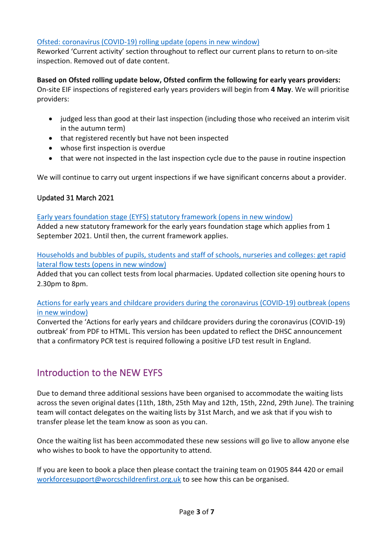#### [Ofsted: coronavirus \(COVID-19\) rolling update \(opens in new window\)](https://eur02.safelinks.protection.outlook.com/?url=https%3A%2F%2Fwww.gov.uk%2Fguidance%2Fofsted-coronavirus-covid-19-rolling-update%3Futm_medium%3Demail%26utm_campaign%3Dgovuk-notifications%26utm_source%3D243883db-2668-475b-98c4-5b3a35b809f4%26utm_content%3Ddaily&data=04%7C01%7CROakley2%40worcschildrenfirst.org.uk%7C0f9baaaf7f844fbb20b708d8f3517ad6%7Cacf41887bd3745d39e6547cde48dc85a%7C0%7C0%7C637526878568455495%7CUnknown%7CTWFpbGZsb3d8eyJWIjoiMC4wLjAwMDAiLCJQIjoiV2luMzIiLCJBTiI6Ik1haWwiLCJXVCI6Mn0%3D%7C1000&sdata=AoAao5xznNoYWWz3YhKBjBq0MSbNogcgHMVHQX4zVX4%3D&reserved=0)

Reworked 'Current activity' section throughout to reflect our current plans to return to on-site inspection. Removed out of date content.

#### **Based on Ofsted rolling update below, Ofsted confirm the following for early years providers:**

On-site EIF inspections of registered early years providers will begin from **4 May**. We will prioritise providers:

- judged less than good at their last inspection (including those who received an interim visit in the autumn term)
- that registered recently but have not been inspected
- whose first inspection is overdue
- that were not inspected in the last inspection cycle due to the pause in routine inspection

We will continue to carry out urgent inspections if we have significant concerns about a provider.

#### Updated 31 March 2021

[Early years foundation stage \(EYFS\) statutory framework \(opens in new window\)](https://eur02.safelinks.protection.outlook.com/?url=https%3A%2F%2Fwww.gov.uk%2Fgovernment%2Fpublications%2Fearly-years-foundation-stage-framework--2%3Futm_medium%3Demail%26utm_campaign%3Dgovuk-notifications%26utm_source%3D65b6ed2e-7aeb-4e01-b38f-f6a0569b42df%26utm_content%3Ddaily&data=04%7C01%7CROakley2%40worcschildrenfirst.org.uk%7C7f286a55617740972f2808d8f4e41b13%7Cacf41887bd3745d39e6547cde48dc85a%7C0%7C0%7C637528607835819182%7CUnknown%7CTWFpbGZsb3d8eyJWIjoiMC4wLjAwMDAiLCJQIjoiV2luMzIiLCJBTiI6Ik1haWwiLCJXVCI6Mn0%3D%7C1000&sdata=cP1toWEcVNoZLj7mepJNDWqvto4aTR%2BwUg4eTMzTcFU%3D&reserved=0)

Added a new statutory framework for the early years foundation stage which applies from 1 September 2021. Until then, the current framework applies.

[Households and bubbles of pupils, students and staff of schools, nurseries and colleges: get rapid](https://eur02.safelinks.protection.outlook.com/?url=https%3A%2F%2Fwww.gov.uk%2Fguidance%2Frapid-lateral-flow-testing-for-households-and-bubbles-of-school-pupils-and-staff%3Futm_medium%3Demail%26utm_campaign%3Dgovuk-notifications%26utm_source%3D71ed765e-ba63-4093-b542-29bdbcabe9d0%26utm_content%3Ddaily&data=04%7C01%7CROakley2%40worcschildrenfirst.org.uk%7C7f286a55617740972f2808d8f4e41b13%7Cacf41887bd3745d39e6547cde48dc85a%7C0%7C0%7C637528607835829180%7CUnknown%7CTWFpbGZsb3d8eyJWIjoiMC4wLjAwMDAiLCJQIjoiV2luMzIiLCJBTiI6Ik1haWwiLCJXVCI6Mn0%3D%7C1000&sdata=iv%2F6smXlfkWdScGjO%2FZt%2BW8RNteNbQMB%2BtQOwo1uBSg%3D&reserved=0)  [lateral flow tests \(opens in new window\)](https://eur02.safelinks.protection.outlook.com/?url=https%3A%2F%2Fwww.gov.uk%2Fguidance%2Frapid-lateral-flow-testing-for-households-and-bubbles-of-school-pupils-and-staff%3Futm_medium%3Demail%26utm_campaign%3Dgovuk-notifications%26utm_source%3D71ed765e-ba63-4093-b542-29bdbcabe9d0%26utm_content%3Ddaily&data=04%7C01%7CROakley2%40worcschildrenfirst.org.uk%7C7f286a55617740972f2808d8f4e41b13%7Cacf41887bd3745d39e6547cde48dc85a%7C0%7C0%7C637528607835829180%7CUnknown%7CTWFpbGZsb3d8eyJWIjoiMC4wLjAwMDAiLCJQIjoiV2luMzIiLCJBTiI6Ik1haWwiLCJXVCI6Mn0%3D%7C1000&sdata=iv%2F6smXlfkWdScGjO%2FZt%2BW8RNteNbQMB%2BtQOwo1uBSg%3D&reserved=0)

Added that you can collect tests from local pharmacies. Updated collection site opening hours to 2.30pm to 8pm.

#### [Actions for early years and childcare providers during the coronavirus \(COVID-19\) outbreak \(opens](https://eur02.safelinks.protection.outlook.com/?url=https%3A%2F%2Fwww.gov.uk%2Fgovernment%2Fpublications%2Fcoronavirus-covid-19-early-years-and-childcare-closures%3Futm_medium%3Demail%26utm_campaign%3Dgovuk-notifications%26utm_source%3D1c5ba000-6298-4c47-a910-f60937424d17%26utm_content%3Ddaily&data=04%7C01%7CROakley2%40worcschildrenfirst.org.uk%7C7f286a55617740972f2808d8f4e41b13%7Cacf41887bd3745d39e6547cde48dc85a%7C0%7C0%7C637528607835839171%7CUnknown%7CTWFpbGZsb3d8eyJWIjoiMC4wLjAwMDAiLCJQIjoiV2luMzIiLCJBTiI6Ik1haWwiLCJXVCI6Mn0%3D%7C1000&sdata=uhx14rIZuA%2Fe2QgLLuno6UFiik7XBOT5KFtXJN7ZqQc%3D&reserved=0)  [in new window\)](https://eur02.safelinks.protection.outlook.com/?url=https%3A%2F%2Fwww.gov.uk%2Fgovernment%2Fpublications%2Fcoronavirus-covid-19-early-years-and-childcare-closures%3Futm_medium%3Demail%26utm_campaign%3Dgovuk-notifications%26utm_source%3D1c5ba000-6298-4c47-a910-f60937424d17%26utm_content%3Ddaily&data=04%7C01%7CROakley2%40worcschildrenfirst.org.uk%7C7f286a55617740972f2808d8f4e41b13%7Cacf41887bd3745d39e6547cde48dc85a%7C0%7C0%7C637528607835839171%7CUnknown%7CTWFpbGZsb3d8eyJWIjoiMC4wLjAwMDAiLCJQIjoiV2luMzIiLCJBTiI6Ik1haWwiLCJXVCI6Mn0%3D%7C1000&sdata=uhx14rIZuA%2Fe2QgLLuno6UFiik7XBOT5KFtXJN7ZqQc%3D&reserved=0)

Converted the 'Actions for early years and childcare providers during the coronavirus (COVID-19) outbreak' from PDF to HTML. This version has been updated to reflect the DHSC announcement that a confirmatory PCR test is required following a positive LFD test result in England.

### <span id="page-2-0"></span>Introduction to the NEW EYFS

Due to demand three additional sessions have been organised to accommodate the waiting lists across the seven original dates (11th, 18th, 25th May and 12th, 15th, 22nd, 29th June). The training team will contact delegates on the waiting lists by 31st March, and we ask that if you wish to transfer please let the team know as soon as you can.

Once the waiting list has been accommodated these new sessions will go live to allow anyone else who wishes to book to have the opportunity to attend.

If you are keen to book a place then please contact the training team on 01905 844 420 or email [workforcesupport@worcschildrenfirst.org.uk](mailto:workforcesupport@worcschildrenfirst.org.uk) to see how this can be organised.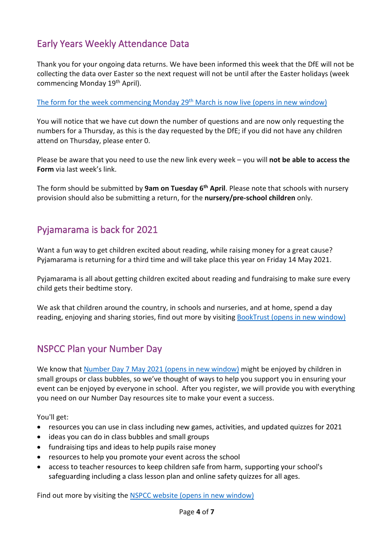## <span id="page-3-0"></span>Early Years Weekly Attendance Data

Thank you for your ongoing data returns. We have been informed this week that the DfE will not be collecting the data over Easter so the next request will not be until after the Easter holidays (week commencing Monday 19th April).

[The form for the week commencing Monday 29th](https://forms.office.com/Pages/ResponsePage.aspx?id=hxj0rDe900We%20ZUfN5I3IWpZ_VLWd1_BMv73VhFZ6mLVUNEZHOEpTMk1GWE05N0k4MEczS0VDSFRHVy4u) March is now live (opens in new window)

You will notice that we have cut down the number of questions and are now only requesting the numbers for a Thursday, as this is the day requested by the DfE; if you did not have any children attend on Thursday, please enter 0.

Please be aware that you need to use the new link every week – you will **not be able to access the Form** via last week's link.

The form should be submitted by **9am on Tuesday 6th April**. Please note that schools with nursery provision should also be submitting a return, for the **nursery/pre-school children** only.

### <span id="page-3-1"></span>Pyjamarama is back for 2021

Want a fun way to get children excited about reading, while raising money for a great cause? Pyjamarama is returning for a third time and will take place this year on Friday 14 May 2021.

Pyjamarama is all about getting children excited about reading and fundraising to make sure every child gets their bedtime story.

We ask that children around the country, in schools and nurseries, and at home, spend a day reading, enjoying and sharing stories, find out more by visiting [BookTrust \(opens in new window\)](https://www.booktrust.org.uk/pyjamarama?utm_source=2021_Pyjamarama_FB_Conversion&utm_medium=nursery&utm_campaign=Advert_7&fbclid=IwAR1oJHz_u9C7VnhmqttX19wP6bYS9gNteKLneWYbZnKZ-t33FOpuQtZDw-Y)

### <span id="page-3-2"></span>NSPCC Plan your Number Day

We know that [Number Day 7 May 2021 \(opens in new window\)](https://www.nspcc.org.uk/support-us/events-fundraising/social-special-events/number-day/form/) might be enjoyed by children in small groups or class bubbles, so we've thought of ways to help you support you in ensuring your event can be enjoyed by everyone in school. After you register, we will provide you with everything you need on our Number Day resources site to make your event a success.

You'll get:

- resources you can use in class including new games, activities, and updated quizzes for 2021
- ideas you can do in class bubbles and small groups
- fundraising tips and ideas to help pupils raise money
- resources to help you promote your event across the school
- access to teacher resources to keep children safe from harm, supporting your school's safeguarding including a class lesson plan and online safety quizzes for all ages.

Find out more by visiting the [NSPCC website \(opens in new window\)](https://www.nspcc.org.uk/support-us/events-fundraising/social-special-events/number-day/?utm_source=facebook&utm_medium=paid_social&utm_campaign=AZ3930*&utm_content=numberday20+interest+Oct20&ac=)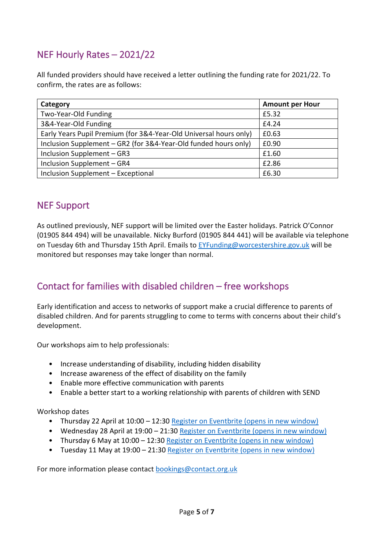# <span id="page-4-0"></span>NEF Hourly Rates – 2021/22

All funded providers should have received a letter outlining the funding rate for 2021/22. To confirm, the rates are as follows:

| Category                                                          | <b>Amount per Hour</b> |
|-------------------------------------------------------------------|------------------------|
| Two-Year-Old Funding                                              | £5.32                  |
| 3&4-Year-Old Funding                                              | £4.24                  |
| Early Years Pupil Premium (for 3&4-Year-Old Universal hours only) | £0.63                  |
| Inclusion Supplement - GR2 (for 3&4-Year-Old funded hours only)   | £0.90                  |
| Inclusion Supplement - GR3                                        | £1.60                  |
| Inclusion Supplement - GR4                                        | £2.86                  |
| Inclusion Supplement - Exceptional                                | £6.30                  |

### <span id="page-4-1"></span>NEF Support

As outlined previously, NEF support will be limited over the Easter holidays. Patrick O'Connor (01905 844 494) will be unavailable. Nicky Burford (01905 844 441) will be available via telephone on Tuesday 6th and Thursday 15th April. Emails to [EYFunding@worcestershire.gov.uk](mailto:EYFunding@worcestershire.gov.uk) will be monitored but responses may take longer than normal.

## <span id="page-4-3"></span>Contact for families with disabled children – free workshops

Early identification and access to networks of support make a crucial difference to parents of disabled children. And for parents struggling to come to terms with concerns about their child's development.

Our workshops aim to help professionals:

- Increase understanding of disability, including hidden disability
- Increase awareness of the effect of disability on the family
- Enable more effective communication with parents
- Enable a better start to a working relationship with parents of children with SEND

Workshop dates

- Thursday 22 April at 10:00 12:30 [Register on Eventbrite \(opens in new window\)](https://www.eventbrite.co.uk/e/working-with-parentscarers-of-children-with-send-tickets-147027207335)
- Wednesday 28 April at 19:00 21:30 [Register on Eventbrite \(opens in new window\)](https://www.eventbrite.co.uk/e/working-with-parentscarers-of-children-with-send-tickets-147028067909)
- Thursday 6 May at 10:00 12:30 [Register on Eventbrite \(opens in new window\)](https://www.eventbrite.co.uk/e/working-with-parentscarers-of-children-with-send-tickets-147027670721)
- Tuesday 11 May at 19:00 21:30 [Register on Eventbrite \(opens in new window\)](https://www.eventbrite.co.uk/e/working-with-parentscarers-of-children-with-send-tickets-147028435007)

<span id="page-4-2"></span>For more information please contact [bookings@contact.org.uk](mailto:bookings@contact.org.uk)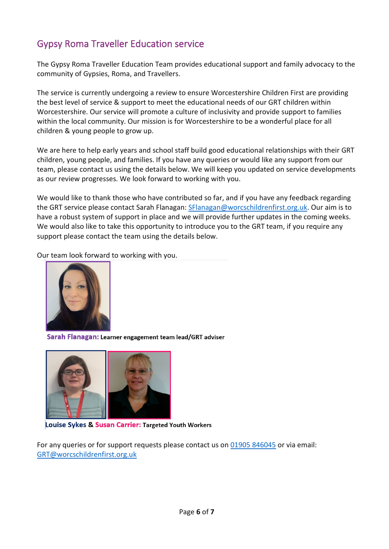## Gypsy Roma Traveller Education service

The Gypsy Roma Traveller Education Team provides educational support and family advocacy to the community of Gypsies, Roma, and Travellers.

The service is currently undergoing a review to ensure Worcestershire Children First are providing the best level of service & support to meet the educational needs of our GRT children within Worcestershire. Our service will promote a culture of inclusivity and provide support to families within the local community. Our mission is for Worcestershire to be a wonderful place for all children & young people to grow up.

We are here to help early years and school staff build good educational relationships with their GRT children, young people, and families. If you have any queries or would like any support from our team, please contact us using the details below. We will keep you updated on service developments as our review progresses. We look forward to working with you.

We would like to thank those who have contributed so far, and if you have any feedback regarding the GRT service please contact Sarah Flanagan: [SFlanagan@worcschildrenfirst.org.uk.](mailto:SFlanagan@worcschildrenfirst.org.uk) Our aim is to have a robust system of support in place and we will provide further updates in the coming weeks. We would also like to take this opportunity to introduce you to the GRT team, if you require any support please contact the team using the details below.

Our team look forward to working with you.



Sarah Flanagan: Learner engagement team lead/GRT adviser



**Louise Sykes & Susan Carrier: Targeted Youth Workers** 

For any queries or for support requests please contact us on [01905 846045](tel:01905%20846045) or via email: [GRT@worcschildrenfirst.org.uk](mailto:GRT@worcschildrenfirst.org.uk)